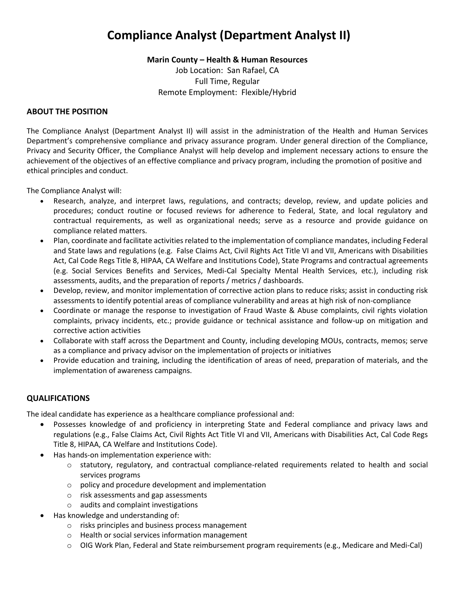## **Compliance Analyst (Department Analyst II)**

**Marin County – Health & Human Resources**

Job Location: San Rafael, CA Full Time, Regular Remote Employment: Flexible/Hybrid

## **ABOUT THE POSITION**

The Compliance Analyst (Department Analyst II) will assist in the administration of the Health and Human Services Department's comprehensive compliance and privacy assurance program. Under general direction of the Compliance, Privacy and Security Officer, the Compliance Analyst will help develop and implement necessary actions to ensure the achievement of the objectives of an effective compliance and privacy program, including the promotion of positive and ethical principles and conduct.

The Compliance Analyst will:

- Research, analyze, and interpret laws, regulations, and contracts; develop, review, and update policies and procedures; conduct routine or focused reviews for adherence to Federal, State, and local regulatory and contractual requirements, as well as organizational needs; serve as a resource and provide guidance on compliance related matters.
- Plan, coordinate and facilitate activities related to the implementation of compliance mandates, including Federal and State laws and regulations (e.g. False Claims Act, Civil Rights Act Title VI and VII, Americans with Disabilities Act, Cal Code Regs Title 8, HIPAA, CA Welfare and Institutions Code), State Programs and contractual agreements (e.g. Social Services Benefits and Services, Medi-Cal Specialty Mental Health Services, etc.), including risk assessments, audits, and the preparation of reports / metrics / dashboards.
- Develop, review, and monitor implementation of corrective action plans to reduce risks; assist in conducting risk assessments to identify potential areas of compliance vulnerability and areas at high risk of non-compliance
- Coordinate or manage the response to investigation of Fraud Waste & Abuse complaints, civil rights violation complaints, privacy incidents, etc.; provide guidance or technical assistance and follow-up on mitigation and corrective action activities
- Collaborate with staff across the Department and County, including developing MOUs, contracts, memos; serve as a compliance and privacy advisor on the implementation of projects or initiatives
- Provide education and training, including the identification of areas of need, preparation of materials, and the implementation of awareness campaigns.

## **QUALIFICATIONS**

The ideal candidate has experience as a healthcare compliance professional and:

- Possesses knowledge of and proficiency in interpreting State and Federal compliance and privacy laws and regulations (e.g., False Claims Act, Civil Rights Act Title VI and VII, Americans with Disabilities Act, Cal Code Regs Title 8, HIPAA, CA Welfare and Institutions Code).
- Has hands-on implementation experience with:
	- o statutory, regulatory, and contractual compliance-related requirements related to health and social services programs
	- o policy and procedure development and implementation
	- o risk assessments and gap assessments
	- o audits and complaint investigations
- Has knowledge and understanding of:
	- o risks principles and business process management
	- o Health or social services information management
	- $\circ$  OIG Work Plan, Federal and State reimbursement program requirements (e.g., Medicare and Medi-Cal)